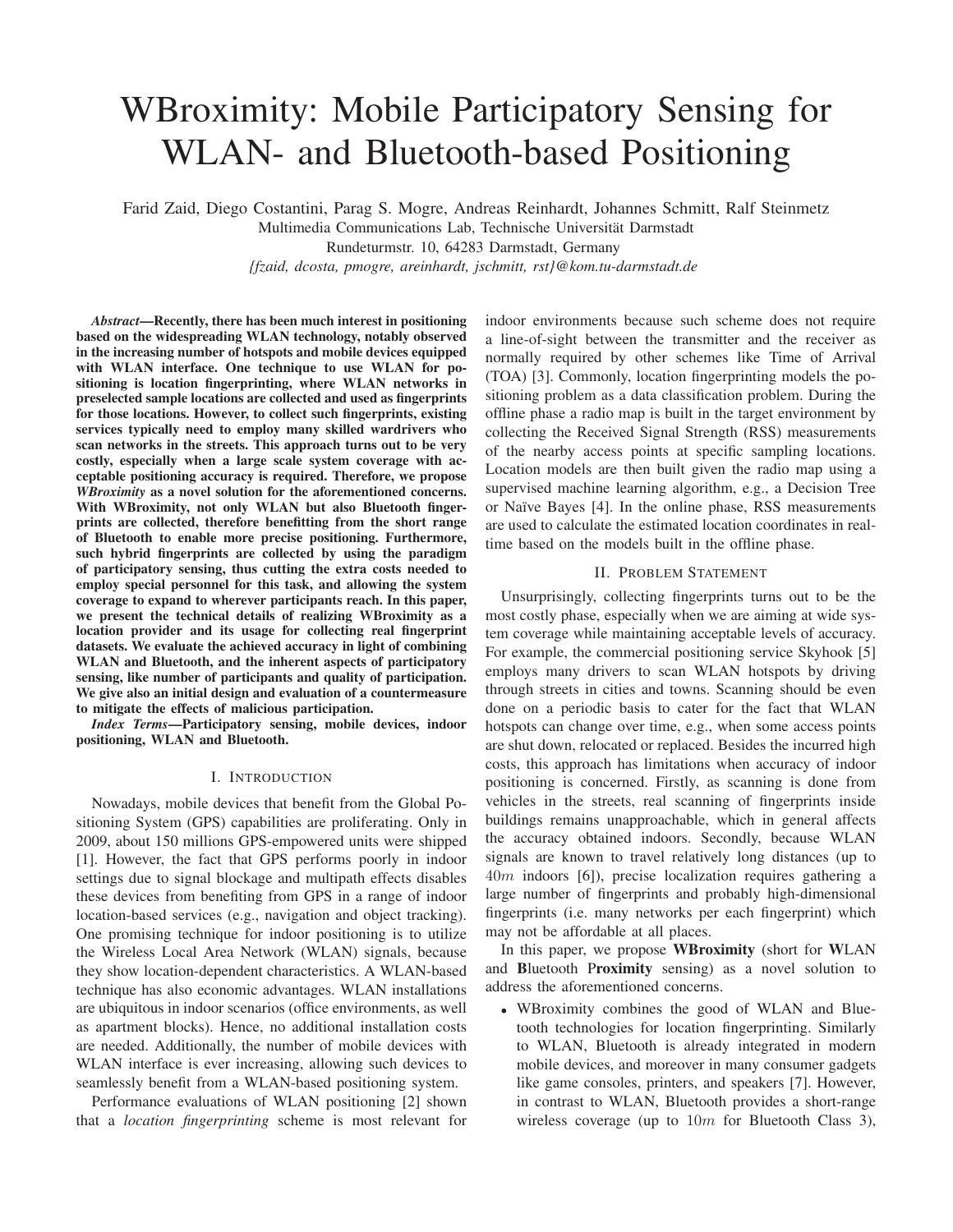Farid Zaid, Diego Costantini, Parag Mogre, Andreas Reinhardt, Johannes Schmitt, Ralf Steinmetz: *WBroximity: Mobile Participatory Sensing for WLAN- and Bluetooth-based Positioning*. In: Proceedings of the 5th IEEE International Workshop on Practical Issues in Building Sensor Network Applications (SenseApp 2010), p. 906--912, Omnipress, October 2010. ISBN 978-1-4244-8388-4.

# WBroximity: Mobile Participatory Sensing for WLAN- and Bluetooth-based Positioning

Farid Zaid, Diego Costantini, Parag S. Mogre, Andreas Reinhardt, Johannes Schmitt, Ralf Steinmetz

Multimedia Communications Lab, Technische Universität Darmstadt

Rundeturmstr. 10, 64283 Darmstadt, Germany

*{fzaid, dcosta, pmogre, areinhardt, jschmitt, rst}@kom.tu-darmstadt.de*

*Abstract*—Recently, there has been much interest in positioning based on the widespreading WLAN technology, notably observed in the increasing number of hotspots and mobile devices equipped with WLAN interface. One technique to use WLAN for positioning is location fingerprinting, where WLAN networks in preselected sample locations are collected and used as fingerprints for those locations. However, to collect such fingerprints, existing services typically need to employ many skilled wardrivers who scan networks in the streets. This approach turns out to be very costly, especially when a large scale system coverage with acceptable positioning accuracy is required. Therefore, we propose *WBroximity* as a novel solution for the aforementioned concerns. With WBroximity, not only WLAN but also Bluetooth fingerprints are collected, therefore benefitting from the short range of Bluetooth to enable more precise positioning. Furthermore, such hybrid fingerprints are collected by using the paradigm of participatory sensing, thus cutting the extra costs needed to employ special personnel for this task, and allowing the system coverage to expand to wherever participants reach. In this paper, we present the technical details of realizing WBroximity as a location provider and its usage for collecting real fingerprint datasets. We evaluate the achieved accuracy in light of combining WLAN and Bluetooth, and the inherent aspects of participatory sensing, like number of participants and quality of participation. We give also an initial design and evaluation of a countermeasure to mitigate the effects of malicious participation.

*Index Terms*—Participatory sensing, mobile devices, indoor positioning, WLAN and Bluetooth.

## I. INTRODUCTION

Nowadays, mobile devices that benefit from the Global Positioning System (GPS) capabilities are proliferating. Only in 2009, about 150 millions GPS-empowered units were shipped [1]. However, the fact that GPS performs poorly in indoor settings due to signal blockage and multipath effects disables these devices from benefiting from GPS in a range of indoor location-based services (e.g., navigation and object tracking). One promising technique for indoor positioning is to utilize the Wireless Local Area Network (WLAN) signals, because they show location-dependent characteristics. A WLAN-based technique has also economic advantages. WLAN installations are ubiquitous in indoor scenarios (office environments, as well as apartment blocks). Hence, no additional installation costs are needed. Additionally, the number of mobile devices with WLAN interface is ever increasing, allowing such devices to seamlessly benefit from a WLAN-based positioning system.

Performance evaluations of WLAN positioning [2] shown that a *location fingerprinting* scheme is most relevant for indoor environments because such scheme does not require a line-of-sight between the transmitter and the receiver as normally required by other schemes like Time of Arrival (TOA) [3]. Commonly, location fingerprinting models the positioning problem as a data classification problem. During the offline phase a radio map is built in the target environment by collecting the Received Signal Strength (RSS) measurements of the nearby access points at specific sampling locations. Location models are then built given the radio map using a supervised machine learning algorithm, e.g., a Decision Tree or Naïve Bayes [4]. In the online phase, RSS measurements are used to calculate the estimated location coordinates in realtime based on the models built in the offline phase.

#### II. PROBLEM STATEMENT

Unsurprisingly, collecting fingerprints turns out to be the most costly phase, especially when we are aiming at wide system coverage while maintaining acceptable levels of accuracy. For example, the commercial positioning service Skyhook [5] employs many drivers to scan WLAN hotspots by driving through streets in cities and towns. Scanning should be even done on a periodic basis to cater for the fact that WLAN hotspots can change over time, e.g., when some access points are shut down, relocated or replaced. Besides the incurred high costs, this approach has limitations when accuracy of indoor positioning is concerned. Firstly, as scanning is done from vehicles in the streets, real scanning of fingerprints inside buildings remains unapproachable, which in general affects the accuracy obtained indoors. Secondly, because WLAN signals are known to travel relatively long distances (up to 40m indoors [6]), precise localization requires gathering a large number of fingerprints and probably high-dimensional fingerprints (i.e. many networks per each fingerprint) which may not be affordable at all places.

In this paper, we propose WBroximity (short for WLAN and Bluetooth Proximity sensing) as a novel solution to address the aforementioned concerns.

• WBroximity combines the good of WLAN and Bluetooth technologies for location fingerprinting. Similarly to WLAN, Bluetooth is already integrated in modern mobile devices, and moreover in many consumer gadgets like game consoles, printers, and speakers [7]. However, in contrast to WLAN, Bluetooth provides a short-range wireless coverage (up to  $10m$  for Bluetooth Class 3),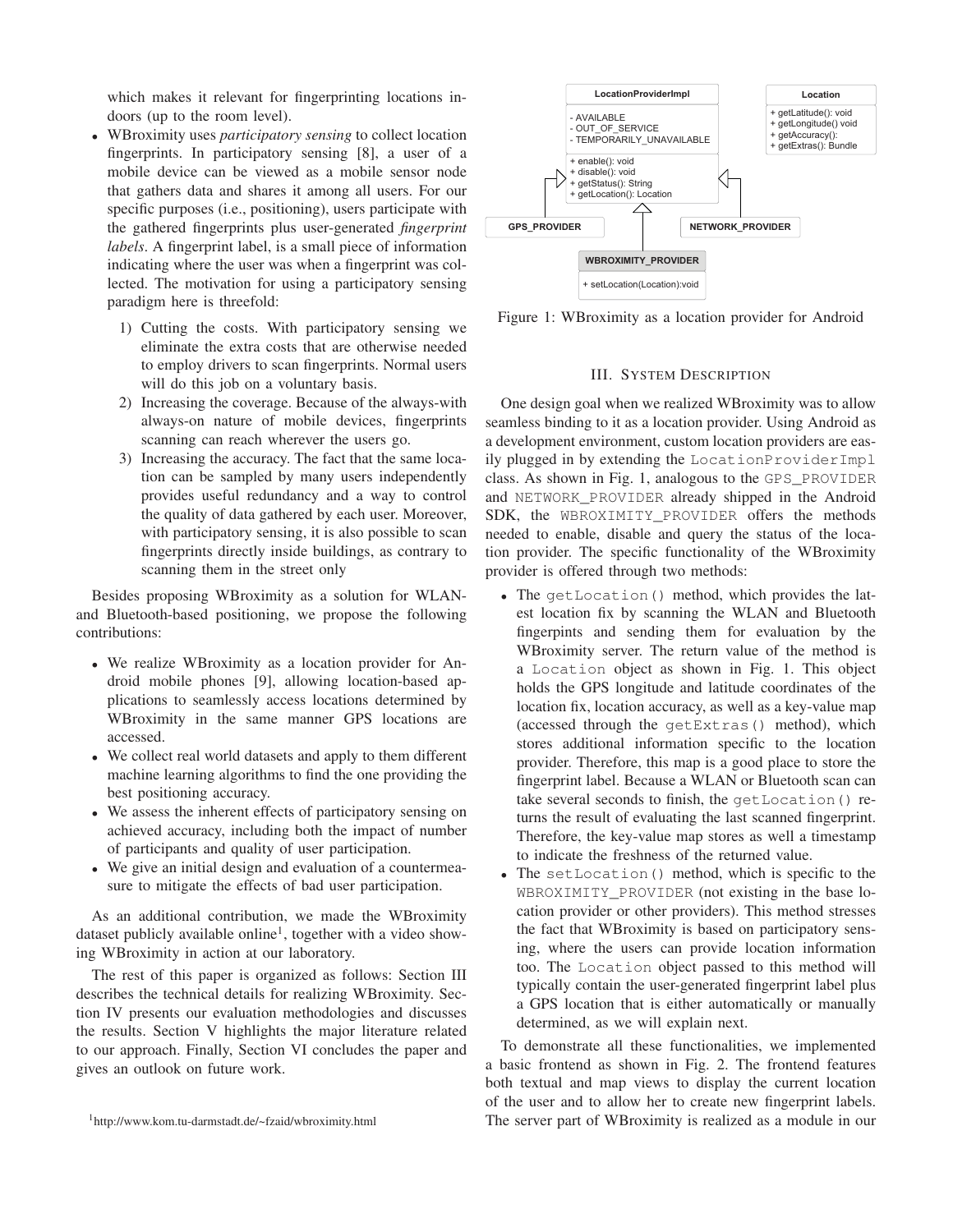which makes it relevant for fingerprinting locations indoors (up to the room level).

- WBroximity uses *participatory sensing* to collect location fingerprints. In participatory sensing [8], a user of a mobile device can be viewed as a mobile sensor node that gathers data and shares it among all users. For our specific purposes (i.e., positioning), users participate with the gathered fingerprints plus user-generated *fingerprint labels*. A fingerprint label, is a small piece of information indicating where the user was when a fingerprint was collected. The motivation for using a participatory sensing paradigm here is threefold:
	- 1) Cutting the costs. With participatory sensing we eliminate the extra costs that are otherwise needed to employ drivers to scan fingerprints. Normal users will do this job on a voluntary basis.
	- 2) Increasing the coverage. Because of the always-with always-on nature of mobile devices, fingerprints scanning can reach wherever the users go.
	- 3) Increasing the accuracy. The fact that the same location can be sampled by many users independently provides useful redundancy and a way to control the quality of data gathered by each user. Moreover, with participatory sensing, it is also possible to scan fingerprints directly inside buildings, as contrary to scanning them in the street only

Besides proposing WBroximity as a solution for WLANand Bluetooth-based positioning, we propose the following contributions:

- We realize WBroximity as a location provider for Android mobile phones [9], allowing location-based applications to seamlessly access locations determined by WBroximity in the same manner GPS locations are accessed.
- We collect real world datasets and apply to them different machine learning algorithms to find the one providing the best positioning accuracy.
- We assess the inherent effects of participatory sensing on achieved accuracy, including both the impact of number of participants and quality of user participation.
- We give an initial design and evaluation of a countermeasure to mitigate the effects of bad user participation.

As an additional contribution, we made the WBroximity dataset publicly available online<sup>1</sup>, together with a video showing WBroximity in action at our laboratory.

The rest of this paper is organized as follows: Section III describes the technical details for realizing WBroximity. Section IV presents our evaluation methodologies and discusses the results. Section V highlights the major literature related to our approach. Finally, Section VI concludes the paper and gives an outlook on future work.





Figure 1: WBroximity as a location provider for Android

## III. SYSTEM DESCRIPTION

One design goal when we realized WBroximity was to allow seamless binding to it as a location provider. Using Android as a development environment, custom location providers are easily plugged in by extending the LocationProviderImpl class. As shown in Fig. 1, analogous to the GPS\_PROVIDER and NETWORK\_PROVIDER already shipped in the Android SDK, the WBROXIMITY PROVIDER offers the methods needed to enable, disable and query the status of the location provider. The specific functionality of the WBroximity provider is offered through two methods:

- The getLocation() method, which provides the latest location fix by scanning the WLAN and Bluetooth fingerpints and sending them for evaluation by the WBroximity server. The return value of the method is a Location object as shown in Fig. 1. This object holds the GPS longitude and latitude coordinates of the location fix, location accuracy, as well as a key-value map (accessed through the getExtras() method), which stores additional information specific to the location provider. Therefore, this map is a good place to store the fingerprint label. Because a WLAN or Bluetooth scan can take several seconds to finish, the getLocation() returns the result of evaluating the last scanned fingerprint. Therefore, the key-value map stores as well a timestamp to indicate the freshness of the returned value.
- The setLocation() method, which is specific to the WBROXIMITY\_PROVIDER (not existing in the base location provider or other providers). This method stresses the fact that WBroximity is based on participatory sensing, where the users can provide location information too. The Location object passed to this method will typically contain the user-generated fingerprint label plus a GPS location that is either automatically or manually determined, as we will explain next.

To demonstrate all these functionalities, we implemented a basic frontend as shown in Fig. 2. The frontend features both textual and map views to display the current location of the user and to allow her to create new fingerprint labels. The server part of WBroximity is realized as a module in our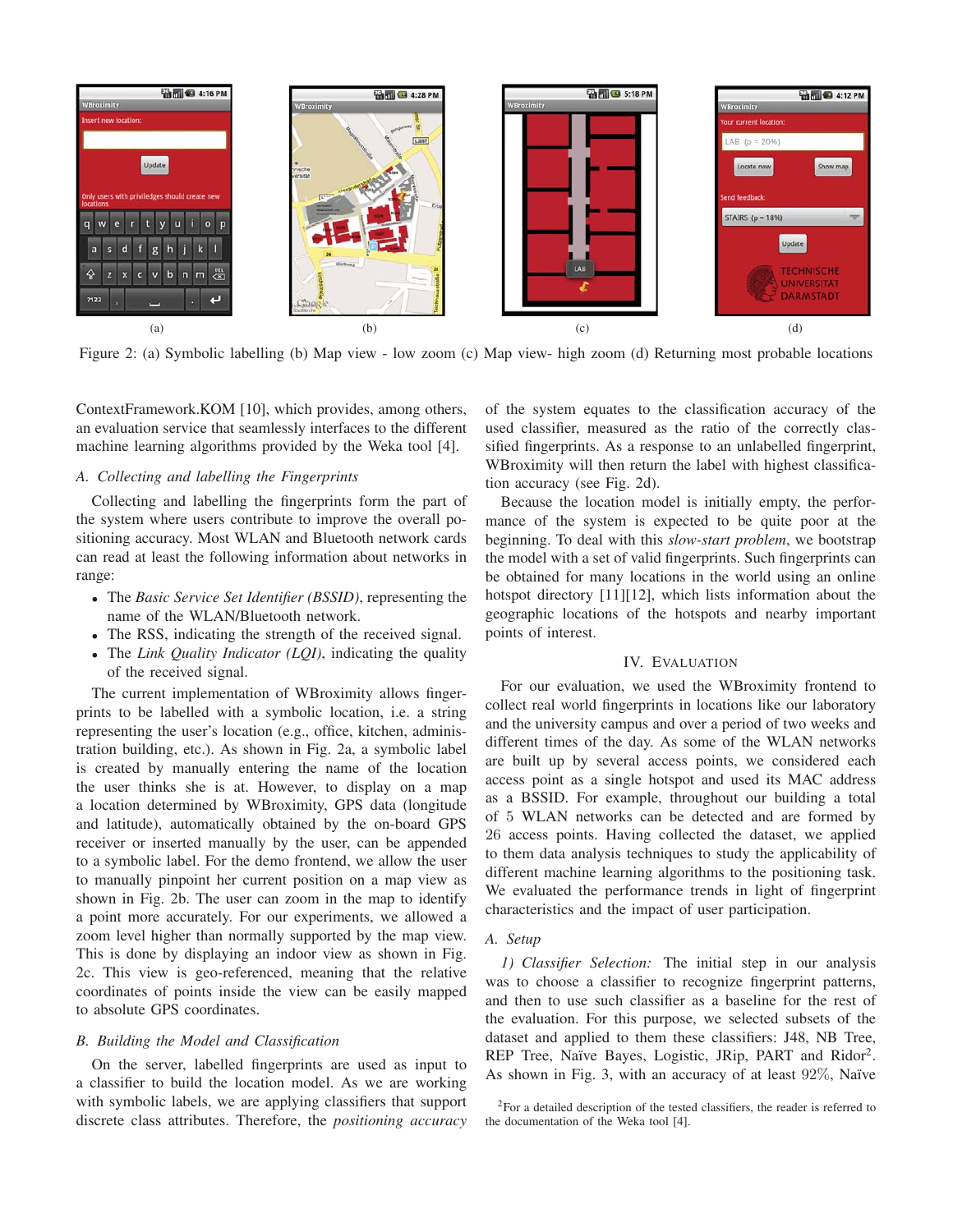

Figure 2: (a) Symbolic labelling (b) Map view - low zoom (c) Map view- high zoom (d) Returning most probable locations

ContextFramework.KOM [10], which provides, among others, an evaluation service that seamlessly interfaces to the different machine learning algorithms provided by the Weka tool [4].

## *A. Collecting and labelling the Fingerprints*

Collecting and labelling the fingerprints form the part of the system where users contribute to improve the overall positioning accuracy. Most WLAN and Bluetooth network cards can read at least the following information about networks in range:

- The *Basic Service Set Identifier (BSSID)*, representing the name of the WLAN/Bluetooth network.
- The RSS, indicating the strength of the received signal.
- The *Link Quality Indicator (LQI)*, indicating the quality of the received signal.

The current implementation of WBroximity allows fingerprints to be labelled with a symbolic location, i.e. a string representing the user's location (e.g., office, kitchen, administration building, etc.). As shown in Fig. 2a, a symbolic label is created by manually entering the name of the location the user thinks she is at. However, to display on a map a location determined by WBroximity, GPS data (longitude and latitude), automatically obtained by the on-board GPS receiver or inserted manually by the user, can be appended to a symbolic label. For the demo frontend, we allow the user to manually pinpoint her current position on a map view as shown in Fig. 2b. The user can zoom in the map to identify a point more accurately. For our experiments, we allowed a zoom level higher than normally supported by the map view. This is done by displaying an indoor view as shown in Fig. 2c. This view is geo-referenced, meaning that the relative coordinates of points inside the view can be easily mapped to absolute GPS coordinates.

#### *B. Building the Model and Classification*

On the server, labelled fingerprints are used as input to a classifier to build the location model. As we are working with symbolic labels, we are applying classifiers that support discrete class attributes. Therefore, the *positioning accuracy*

of the system equates to the classification accuracy of the used classifier, measured as the ratio of the correctly classified fingerprints. As a response to an unlabelled fingerprint, WBroximity will then return the label with highest classification accuracy (see Fig. 2d).

Because the location model is initially empty, the performance of the system is expected to be quite poor at the beginning. To deal with this *slow-start problem*, we bootstrap the model with a set of valid fingerprints. Such fingerprints can be obtained for many locations in the world using an online hotspot directory [11][12], which lists information about the geographic locations of the hotspots and nearby important points of interest.

#### IV. EVALUATION

For our evaluation, we used the WBroximity frontend to collect real world fingerprints in locations like our laboratory and the university campus and over a period of two weeks and different times of the day. As some of the WLAN networks are built up by several access points, we considered each access point as a single hotspot and used its MAC address as a BSSID. For example, throughout our building a total of 5 WLAN networks can be detected and are formed by 26 access points. Having collected the dataset, we applied to them data analysis techniques to study the applicability of different machine learning algorithms to the positioning task. We evaluated the performance trends in light of fingerprint characteristics and the impact of user participation.

#### *A. Setup*

*1) Classifier Selection:* The initial step in our analysis was to choose a classifier to recognize fingerprint patterns, and then to use such classifier as a baseline for the rest of the evaluation. For this purpose, we selected subsets of the dataset and applied to them these classifiers: J48, NB Tree, REP Tree, Naïve Bayes, Logistic, JRip, PART and Ridor<sup>2</sup>. As shown in Fig. 3, with an accuracy of at least 92%, Naïve

2For a detailed description of the tested classifiers, the reader is referred to the documentation of the Weka tool [4].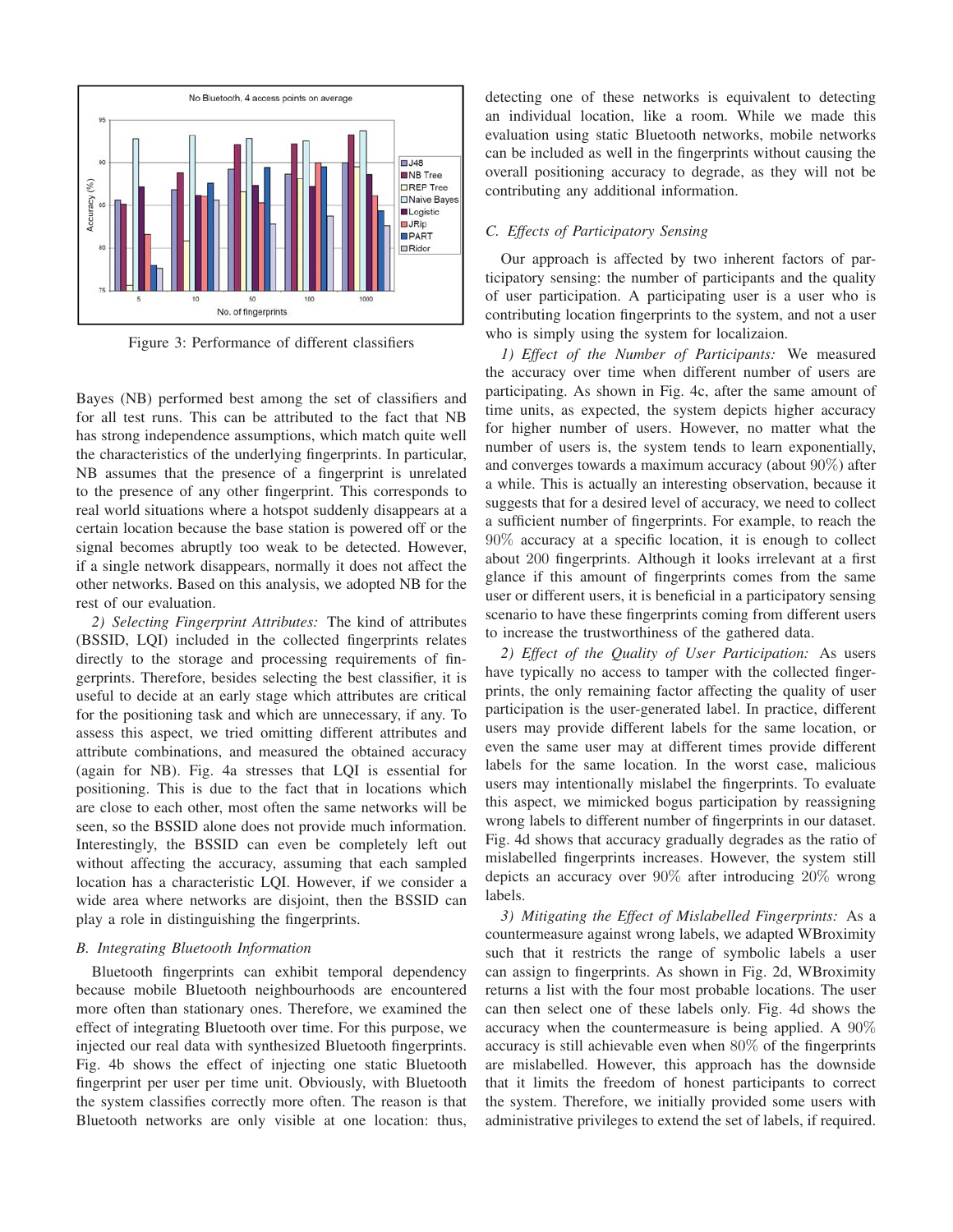

Figure 3: Performance of different classifiers

Bayes (NB) performed best among the set of classifiers and for all test runs. This can be attributed to the fact that NB has strong independence assumptions, which match quite well the characteristics of the underlying fingerprints. In particular, NB assumes that the presence of a fingerprint is unrelated to the presence of any other fingerprint. This corresponds to real world situations where a hotspot suddenly disappears at a certain location because the base station is powered off or the signal becomes abruptly too weak to be detected. However, if a single network disappears, normally it does not affect the other networks. Based on this analysis, we adopted NB for the rest of our evaluation.

*2) Selecting Fingerprint Attributes:* The kind of attributes (BSSID, LQI) included in the collected fingerprints relates directly to the storage and processing requirements of fingerprints. Therefore, besides selecting the best classifier, it is useful to decide at an early stage which attributes are critical for the positioning task and which are unnecessary, if any. To assess this aspect, we tried omitting different attributes and attribute combinations, and measured the obtained accuracy (again for NB). Fig. 4a stresses that LQI is essential for positioning. This is due to the fact that in locations which are close to each other, most often the same networks will be seen, so the BSSID alone does not provide much information. Interestingly, the BSSID can even be completely left out without affecting the accuracy, assuming that each sampled location has a characteristic LQI. However, if we consider a wide area where networks are disjoint, then the BSSID can play a role in distinguishing the fingerprints.

## *B. Integrating Bluetooth Information*

Bluetooth fingerprints can exhibit temporal dependency because mobile Bluetooth neighbourhoods are encountered more often than stationary ones. Therefore, we examined the effect of integrating Bluetooth over time. For this purpose, we injected our real data with synthesized Bluetooth fingerprints. Fig. 4b shows the effect of injecting one static Bluetooth fingerprint per user per time unit. Obviously, with Bluetooth the system classifies correctly more often. The reason is that Bluetooth networks are only visible at one location: thus,

detecting one of these networks is equivalent to detecting an individual location, like a room. While we made this evaluation using static Bluetooth networks, mobile networks can be included as well in the fingerprints without causing the overall positioning accuracy to degrade, as they will not be contributing any additional information.

## *C. Effects of Participatory Sensing*

Our approach is affected by two inherent factors of participatory sensing: the number of participants and the quality of user participation. A participating user is a user who is contributing location fingerprints to the system, and not a user who is simply using the system for localizaion.

*1) Effect of the Number of Participants:* We measured the accuracy over time when different number of users are participating. As shown in Fig. 4c, after the same amount of time units, as expected, the system depicts higher accuracy for higher number of users. However, no matter what the number of users is, the system tends to learn exponentially, and converges towards a maximum accuracy (about 90%) after a while. This is actually an interesting observation, because it suggests that for a desired level of accuracy, we need to collect a sufficient number of fingerprints. For example, to reach the 90% accuracy at a specific location, it is enough to collect about 200 fingerprints. Although it looks irrelevant at a first glance if this amount of fingerprints comes from the same user or different users, it is beneficial in a participatory sensing scenario to have these fingerprints coming from different users to increase the trustworthiness of the gathered data.

*2) Effect of the Quality of User Participation:* As users have typically no access to tamper with the collected fingerprints, the only remaining factor affecting the quality of user participation is the user-generated label. In practice, different users may provide different labels for the same location, or even the same user may at different times provide different labels for the same location. In the worst case, malicious users may intentionally mislabel the fingerprints. To evaluate this aspect, we mimicked bogus participation by reassigning wrong labels to different number of fingerprints in our dataset. Fig. 4d shows that accuracy gradually degrades as the ratio of mislabelled fingerprints increases. However, the system still depicts an accuracy over 90% after introducing 20% wrong labels.

*3) Mitigating the Effect of Mislabelled Fingerprints:* As a countermeasure against wrong labels, we adapted WBroximity such that it restricts the range of symbolic labels a user can assign to fingerprints. As shown in Fig. 2d, WBroximity returns a list with the four most probable locations. The user can then select one of these labels only. Fig. 4d shows the accuracy when the countermeasure is being applied. A 90% accuracy is still achievable even when 80% of the fingerprints are mislabelled. However, this approach has the downside that it limits the freedom of honest participants to correct the system. Therefore, we initially provided some users with administrative privileges to extend the set of labels, if required.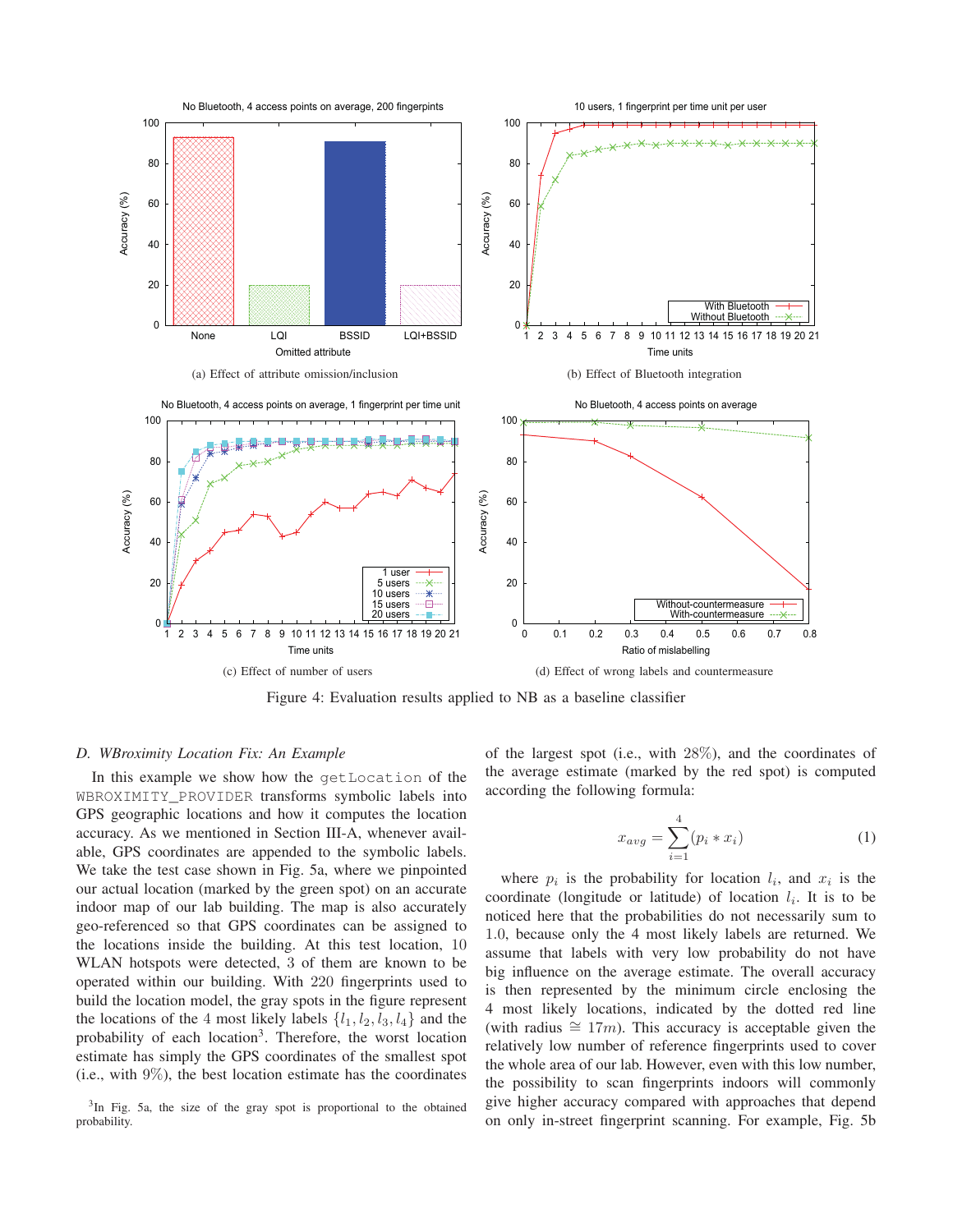

Figure 4: Evaluation results applied to NB as a baseline classifier

#### *D. WBroximity Location Fix: An Example*

In this example we show how the getLocation of the WBROXIMITY\_PROVIDER transforms symbolic labels into GPS geographic locations and how it computes the location accuracy. As we mentioned in Section III-A, whenever available, GPS coordinates are appended to the symbolic labels. We take the test case shown in Fig. 5a, where we pinpointed our actual location (marked by the green spot) on an accurate indoor map of our lab building. The map is also accurately geo-referenced so that GPS coordinates can be assigned to the locations inside the building. At this test location, 10 WLAN hotspots were detected, 3 of them are known to be operated within our building. With 220 fingerprints used to build the location model, the gray spots in the figure represent the locations of the 4 most likely labels  $\{l_1, l_2, l_3, l_4\}$  and the probability of each location<sup>3</sup>. Therefore, the worst location estimate has simply the GPS coordinates of the smallest spot (i.e., with  $9\%$ ), the best location estimate has the coordinates

<sup>3</sup>In Fig. 5a, the size of the gray spot is proportional to the obtained probability.

of the largest spot (i.e., with 28%), and the coordinates of the average estimate (marked by the red spot) is computed according the following formula:

$$
x_{avg} = \sum_{i=1}^{4} (p_i * x_i)
$$
 (1)

where  $p_i$  is the probability for location  $l_i$ , and  $x_i$  is the coordinate (longitude or latitude) of location  $l_i$ . It is to be noticed here that the probabilities do not necessarily sum to 1.0, because only the 4 most likely labels are returned. We assume that labels with very low probability do not have big influence on the average estimate. The overall accuracy is then represented by the minimum circle enclosing the 4 most likely locations, indicated by the dotted red line (with radius  $\cong$  17m). This accuracy is acceptable given the relatively low number of reference fingerprints used to cover the whole area of our lab. However, even with this low number, the possibility to scan fingerprints indoors will commonly give higher accuracy compared with approaches that depend on only in-street fingerprint scanning. For example, Fig. 5b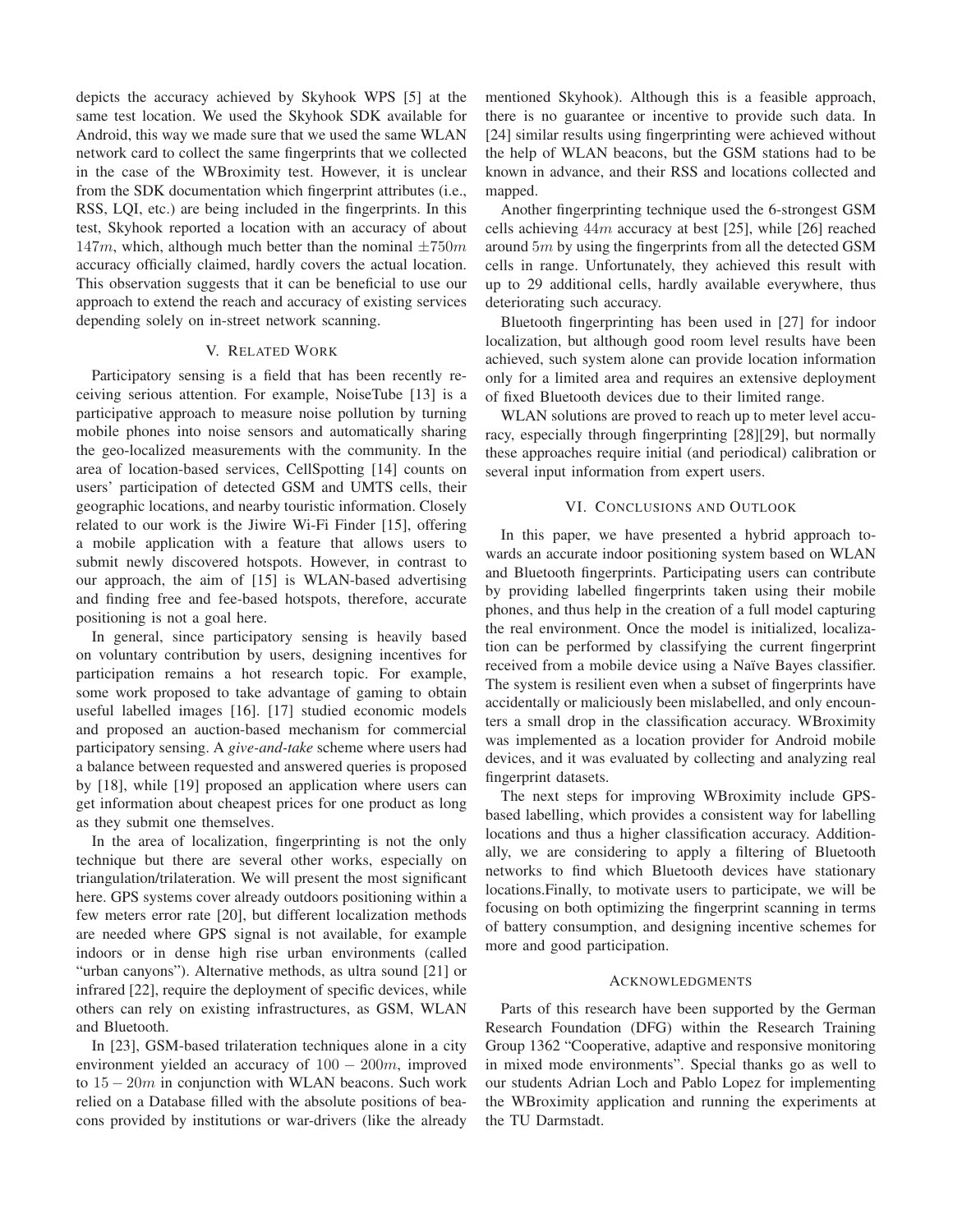depicts the accuracy achieved by Skyhook WPS [5] at the same test location. We used the Skyhook SDK available for Android, this way we made sure that we used the same WLAN network card to collect the same fingerprints that we collected in the case of the WBroximity test. However, it is unclear from the SDK documentation which fingerprint attributes (i.e., RSS, LQI, etc.) are being included in the fingerprints. In this test, Skyhook reported a location with an accuracy of about 147m, which, although much better than the nominal  $\pm 750m$ accuracy officially claimed, hardly covers the actual location. This observation suggests that it can be beneficial to use our approach to extend the reach and accuracy of existing services depending solely on in-street network scanning.

## V. RELATED WORK

Participatory sensing is a field that has been recently receiving serious attention. For example, NoiseTube [13] is a participative approach to measure noise pollution by turning mobile phones into noise sensors and automatically sharing the geo-localized measurements with the community. In the area of location-based services, CellSpotting [14] counts on users' participation of detected GSM and UMTS cells, their geographic locations, and nearby touristic information. Closely related to our work is the Jiwire Wi-Fi Finder [15], offering a mobile application with a feature that allows users to submit newly discovered hotspots. However, in contrast to our approach, the aim of [15] is WLAN-based advertising and finding free and fee-based hotspots, therefore, accurate positioning is not a goal here.

In general, since participatory sensing is heavily based on voluntary contribution by users, designing incentives for participation remains a hot research topic. For example, some work proposed to take advantage of gaming to obtain useful labelled images [16]. [17] studied economic models and proposed an auction-based mechanism for commercial participatory sensing. A *give-and-take* scheme where users had a balance between requested and answered queries is proposed by [18], while [19] proposed an application where users can get information about cheapest prices for one product as long as they submit one themselves.

In the area of localization, fingerprinting is not the only technique but there are several other works, especially on triangulation/trilateration. We will present the most significant here. GPS systems cover already outdoors positioning within a few meters error rate [20], but different localization methods are needed where GPS signal is not available, for example indoors or in dense high rise urban environments (called "urban canyons"). Alternative methods, as ultra sound [21] or infrared [22], require the deployment of specific devices, while others can rely on existing infrastructures, as GSM, WLAN and Bluetooth.

In [23], GSM-based trilateration techniques alone in a city environment yielded an accuracy of  $100 - 200m$ , improved to  $15 - 20m$  in conjunction with WLAN beacons. Such work relied on a Database filled with the absolute positions of beacons provided by institutions or war-drivers (like the already mentioned Skyhook). Although this is a feasible approach, there is no guarantee or incentive to provide such data. In [24] similar results using fingerprinting were achieved without the help of WLAN beacons, but the GSM stations had to be known in advance, and their RSS and locations collected and mapped.

Another fingerprinting technique used the 6-strongest GSM cells achieving 44m accuracy at best [25], while [26] reached around 5m by using the fingerprints from all the detected GSM cells in range. Unfortunately, they achieved this result with up to 29 additional cells, hardly available everywhere, thus deteriorating such accuracy.

Bluetooth fingerprinting has been used in [27] for indoor localization, but although good room level results have been achieved, such system alone can provide location information only for a limited area and requires an extensive deployment of fixed Bluetooth devices due to their limited range.

WLAN solutions are proved to reach up to meter level accuracy, especially through fingerprinting [28][29], but normally these approaches require initial (and periodical) calibration or several input information from expert users.

#### VI. CONCLUSIONS AND OUTLOOK

In this paper, we have presented a hybrid approach towards an accurate indoor positioning system based on WLAN and Bluetooth fingerprints. Participating users can contribute by providing labelled fingerprints taken using their mobile phones, and thus help in the creation of a full model capturing the real environment. Once the model is initialized, localization can be performed by classifying the current fingerprint received from a mobile device using a Naïve Bayes classifier. The system is resilient even when a subset of fingerprints have accidentally or maliciously been mislabelled, and only encounters a small drop in the classification accuracy. WBroximity was implemented as a location provider for Android mobile devices, and it was evaluated by collecting and analyzing real fingerprint datasets.

The next steps for improving WBroximity include GPSbased labelling, which provides a consistent way for labelling locations and thus a higher classification accuracy. Additionally, we are considering to apply a filtering of Bluetooth networks to find which Bluetooth devices have stationary locations.Finally, to motivate users to participate, we will be focusing on both optimizing the fingerprint scanning in terms of battery consumption, and designing incentive schemes for more and good participation.

#### ACKNOWLEDGMENTS

Parts of this research have been supported by the German Research Foundation (DFG) within the Research Training Group 1362 "Cooperative, adaptive and responsive monitoring in mixed mode environments". Special thanks go as well to our students Adrian Loch and Pablo Lopez for implementing the WBroximity application and running the experiments at the TU Darmstadt.